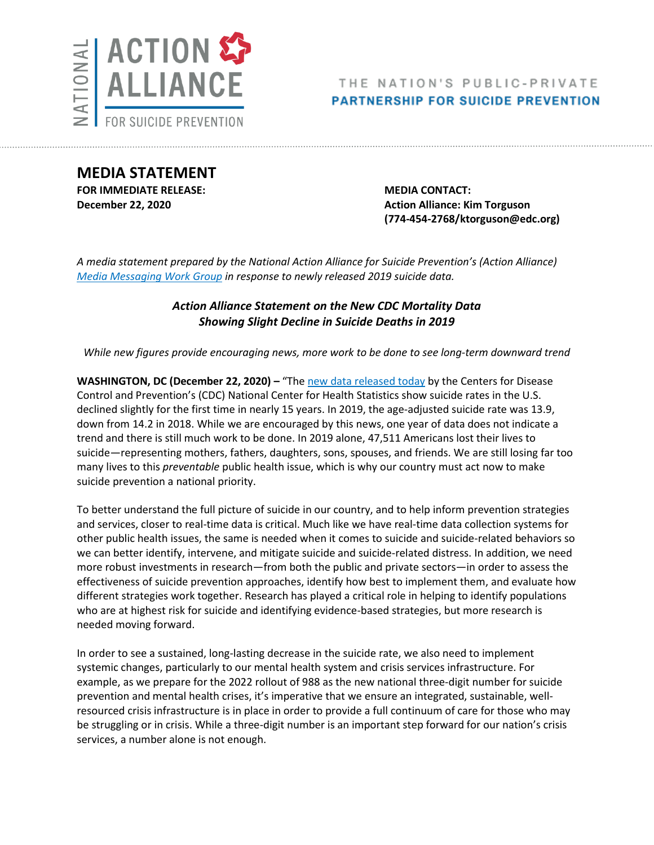

**MEDIA STATEMENT FOR IMMEDIATE RELEASE: MEDIA CONTACT:**

**December 22, 2020 Action Alliance: Kim Torguson <b>Action** Alliance: Kim Torguson **(774-454-2768/ktorguson@edc.org)**

*A media statement prepared by the National Action Alliance for Suicide Prevention's (Action Alliance) [Media Messaging Work](https://theactionalliance.org/task-force/media-messaging) Group in response to newly released 2019 suicide data.*

# *Action Alliance Statement on the New CDC Mortality Data Showing Slight Decline in Suicide Deaths in 2019*

*While new figures provide encouraging news, more work to be done to see long-term downward trend*

**WASHINGTON, DC (December 22, 2020) – "The [new data released today](https://www.cdc.gov/nchs/products/databriefs/db395.htm) by the Centers for Disease** Control and Prevention's (CDC) National Center for Health Statistics show suicide rates in the U.S. declined slightly for the first time in nearly 15 years. In 2019, the age-adjusted suicide rate was 13.9, down from 14.2 in 2018. While we are encouraged by this news, one year of data does not indicate a trend and there is still much work to be done. In 2019 alone, 47,511 Americans lost their lives to suicide—representing mothers, fathers, daughters, sons, spouses, and friends. We are still losing far too many lives to this *preventable* public health issue, which is why our country must act now to make suicide prevention a national priority.

To better understand the full picture of suicide in our country, and to help inform prevention strategies and services, closer to real-time data is critical. Much like we have real-time data collection systems for other public health issues, the same is needed when it comes to suicide and suicide-related behaviors so we can better identify, intervene, and mitigate suicide and suicide-related distress. In addition, we need more robust investments in research—from both the public and private sectors—in order to assess the effectiveness of suicide prevention approaches, identify how best to implement them, and evaluate how different strategies work together. Research has played a critical role in helping to identify populations who are at highest risk for suicide and identifying evidence-based strategies, but more research is needed moving forward.

In order to see a sustained, long-lasting decrease in the suicide rate, we also need to implement systemic changes, particularly to our mental health system and crisis services infrastructure. For example, as we prepare for the 2022 rollout of 988 as the new national three-digit number for suicide prevention and mental health crises, it's imperative that we ensure an integrated, sustainable, wellresourced crisis infrastructure is in place in order to provide a full continuum of care for those who may be struggling or in crisis. While a three-digit number is an important step forward for our nation's crisis services, a number alone is not enough.